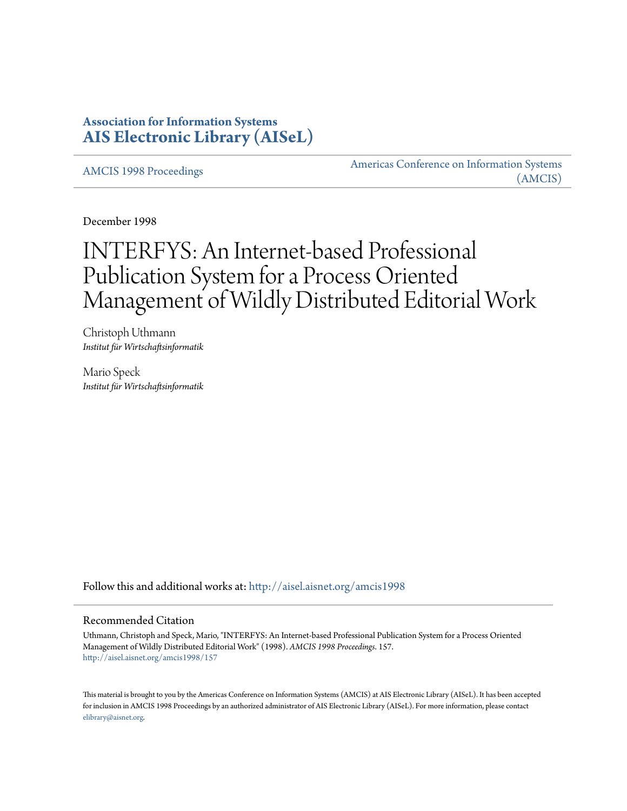## **Association for Information Systems [AIS Electronic Library \(AISeL\)](http://aisel.aisnet.org?utm_source=aisel.aisnet.org%2Famcis1998%2F157&utm_medium=PDF&utm_campaign=PDFCoverPages)**

[AMCIS 1998 Proceedings](http://aisel.aisnet.org/amcis1998?utm_source=aisel.aisnet.org%2Famcis1998%2F157&utm_medium=PDF&utm_campaign=PDFCoverPages)

[Americas Conference on Information Systems](http://aisel.aisnet.org/amcis?utm_source=aisel.aisnet.org%2Famcis1998%2F157&utm_medium=PDF&utm_campaign=PDFCoverPages) [\(AMCIS\)](http://aisel.aisnet.org/amcis?utm_source=aisel.aisnet.org%2Famcis1998%2F157&utm_medium=PDF&utm_campaign=PDFCoverPages)

December 1998

# INTERFYS: An Internet-based Professional Publication System for a Process Oriented Management of Wildly Distributed Editorial Work

Christoph Uthmann *Institut für Wirtschaftsinformatik*

Mario Speck *Institut für Wirtschaftsinformatik*

Follow this and additional works at: [http://aisel.aisnet.org/amcis1998](http://aisel.aisnet.org/amcis1998?utm_source=aisel.aisnet.org%2Famcis1998%2F157&utm_medium=PDF&utm_campaign=PDFCoverPages)

#### Recommended Citation

Uthmann, Christoph and Speck, Mario, "INTERFYS: An Internet-based Professional Publication System for a Process Oriented Management of Wildly Distributed Editorial Work" (1998). *AMCIS 1998 Proceedings*. 157. [http://aisel.aisnet.org/amcis1998/157](http://aisel.aisnet.org/amcis1998/157?utm_source=aisel.aisnet.org%2Famcis1998%2F157&utm_medium=PDF&utm_campaign=PDFCoverPages)

This material is brought to you by the Americas Conference on Information Systems (AMCIS) at AIS Electronic Library (AISeL). It has been accepted for inclusion in AMCIS 1998 Proceedings by an authorized administrator of AIS Electronic Library (AISeL). For more information, please contact [elibrary@aisnet.org.](mailto:elibrary@aisnet.org%3E)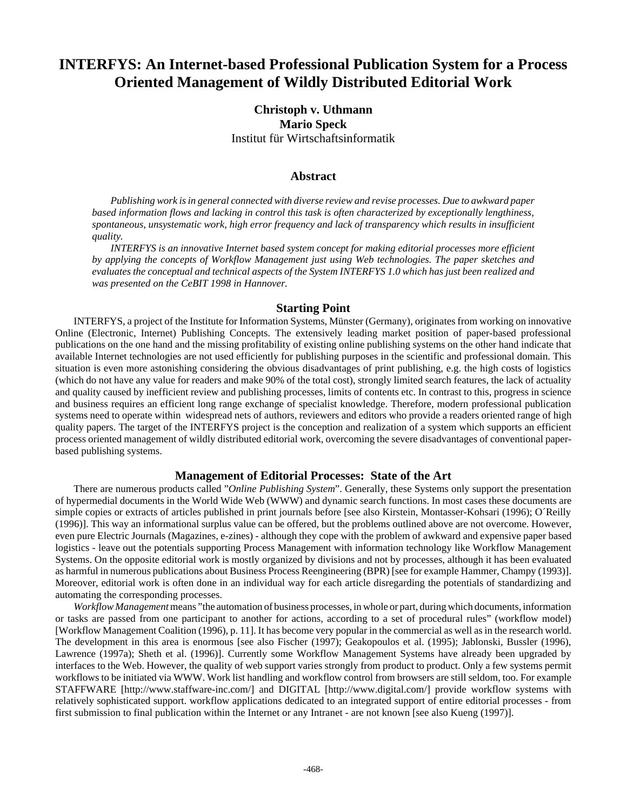## **INTERFYS: An Internet-based Professional Publication System for a Process Oriented Management of Wildly Distributed Editorial Work**

### **Christoph v. Uthmann Mario Speck** Institut für Wirtschaftsinformatik

#### **Abstract**

*Publishing work is in general connected with diverse review and revise processes. Due to awkward paper based information flows and lacking in control this task is often characterized by exceptionally lengthiness, spontaneous, unsystematic work, high error frequency and lack of transparency which results in insufficient quality.* 

*INTERFYS is an innovative Internet based system concept for making editorial processes more efficient by applying the concepts of Workflow Management just using Web technologies. The paper sketches and evaluates the conceptual and technical aspects of the System INTERFYS 1.0 which has just been realized and was presented on the CeBIT 1998 in Hannover.*

#### **Starting Point**

INTERFYS, a project of the Institute for Information Systems, Münster (Germany), originates from working on innovative Online (Electronic, Internet) Publishing Concepts. The extensively leading market position of paper-based professional publications on the one hand and the missing profitability of existing online publishing systems on the other hand indicate that available Internet technologies are not used efficiently for publishing purposes in the scientific and professional domain. This situation is even more astonishing considering the obvious disadvantages of print publishing, e.g. the high costs of logistics (which do not have any value for readers and make 90% of the total cost), strongly limited search features, the lack of actuality and quality caused by inefficient review and publishing processes, limits of contents etc. In contrast to this, progress in science and business requires an efficient long range exchange of specialist knowledge. Therefore, modern professional publication systems need to operate within widespread nets of authors, reviewers and editors who provide a readers oriented range of high quality papers. The target of the INTERFYS project is the conception and realization of a system which supports an efficient process oriented management of wildly distributed editorial work, overcoming the severe disadvantages of conventional paperbased publishing systems.

#### **Management of Editorial Processes: State of the Art**

There are numerous products called "*Online Publishing System*". Generally, these Systems only support the presentation of hypermedial documents in the World Wide Web (WWW) and dynamic search functions. In most cases these documents are simple copies or extracts of articles published in print journals before [see also Kirstein, Montasser-Kohsari (1996); O´Reilly (1996)]. This way an informational surplus value can be offered, but the problems outlined above are not overcome. However, even pure Electric Journals (Magazines, e-zines) - although they cope with the problem of awkward and expensive paper based logistics - leave out the potentials supporting Process Management with information technology like Workflow Management Systems. On the opposite editorial work is mostly organized by divisions and not by processes, although it has been evaluated as harmful in numerous publications about Business Process Reengineering (BPR) [see for example Hammer, Champy (1993)]. Moreover, editorial work is often done in an individual way for each article disregarding the potentials of standardizing and automating the corresponding processes.

*Workflow Management* means "the automation of business processes, in whole or part, during which documents, information or tasks are passed from one participant to another for actions, according to a set of procedural rules" (workflow model) [Workflow Management Coalition (1996), p. 11]. It has become very popular in the commercial as well as in the research world. The development in this area is enormous [see also Fischer (1997); Geakopoulos et al. (1995); Jablonski, Bussler (1996), Lawrence (1997a); Sheth et al. (1996)]. Currently some Workflow Management Systems have already been upgraded by interfaces to the Web. However, the quality of web support varies strongly from product to product. Only a few systems permit workflows to be initiated via WWW. Work list handling and workflow control from browsers are still seldom, too. For example STAFFWARE [http://www.staffware-inc.com/] and DIGITAL [http://www.digital.com/] provide workflow systems with relatively sophisticated support. workflow applications dedicated to an integrated support of entire editorial processes - from first submission to final publication within the Internet or any Intranet - are not known [see also Kueng (1997)].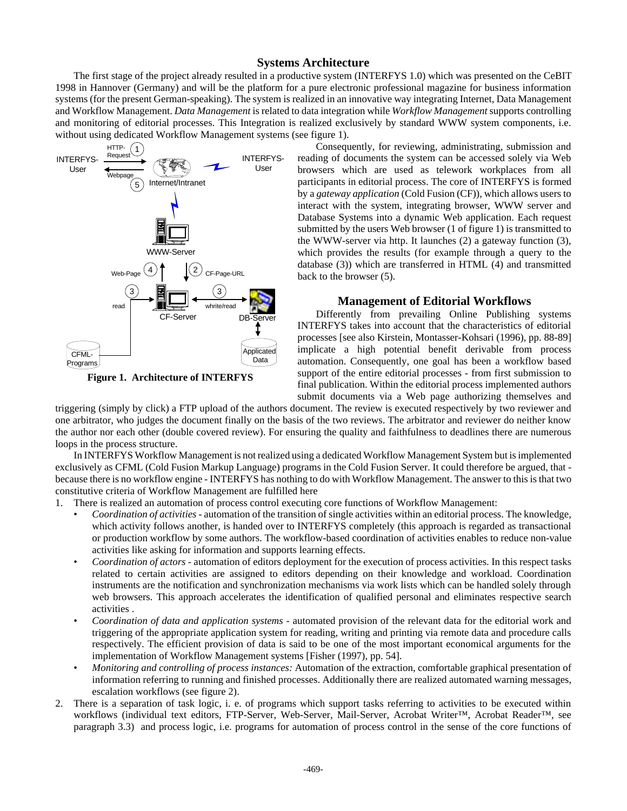#### **Systems Architecture**

The first stage of the project already resulted in a productive system (INTERFYS 1.0) which was presented on the CeBIT 1998 in Hannover (Germany) and will be the platform for a pure electronic professional magazine for business information systems (for the present German-speaking). The system is realized in an innovative way integrating Internet, Data Management and Workflow Management. *Data Management* is related to data integration while *Workflow Management* supports controlling and monitoring of editorial processes. This Integration is realized exclusively by standard WWW system components, i.e. without using dedicated Workflow Management systems (see figure 1).



**Figure 1. Architecture of INTERFYS**

Consequently, for reviewing, administrating, submission and reading of documents the system can be accessed solely via Web browsers which are used as telework workplaces from all participants in editorial process. The core of INTERFYS is formed by a *gateway application* (Cold Fusion (CF)), which allows users to interact with the system, integrating browser, WWW server and Database Systems into a dynamic Web application. Each request submitted by the users Web browser (1 of figure 1) is transmitted to the WWW-server via http. It launches (2) a gateway function (3), which provides the results (for example through a query to the database (3)) which are transferred in HTML (4) and transmitted back to the browser (5).

#### **Management of Editorial Workflows**

Differently from prevailing Online Publishing systems INTERFYS takes into account that the characteristics of editorial processes [see also Kirstein, Montasser-Kohsari (1996), pp. 88-89] implicate a high potential benefit derivable from process automation. Consequently, one goal has been a workflow based support of the entire editorial processes - from first submission to final publication. Within the editorial process implemented authors submit documents via a Web page authorizing themselves and

triggering (simply by click) a FTP upload of the authors document. The review is executed respectively by two reviewer and one arbitrator, who judges the document finally on the basis of the two reviews. The arbitrator and reviewer do neither know the author nor each other (double covered review). For ensuring the quality and faithfulness to deadlines there are numerous loops in the process structure.

In INTERFYS Workflow Management is not realized using a dedicated Workflow Management System but is implemented exclusively as CFML (Cold Fusion Markup Language) programs in the Cold Fusion Server. It could therefore be argued, that because there is no workflow engine - INTERFYS has nothing to do with Workflow Management. The answer to this is that two constitutive criteria of Workflow Management are fulfilled here

1. There is realized an automation of process control executing core functions of Workflow Management:

- *Coordination of activities*  automation of the transition of single activities within an editorial process. The knowledge, which activity follows another, is handed over to INTERFYS completely (this approach is regarded as transactional or production workflow by some authors. The workflow-based coordination of activities enables to reduce non-value activities like asking for information and supports learning effects.
- *Coordination of actors*  automation of editors deployment for the execution of process activities. In this respect tasks related to certain activities are assigned to editors depending on their knowledge and workload. Coordination instruments are the notification and synchronization mechanisms via work lists which can be handled solely through web browsers. This approach accelerates the identification of qualified personal and eliminates respective search activities .
- *Coordination of data and application systems* automated provision of the relevant data for the editorial work and triggering of the appropriate application system for reading, writing and printing via remote data and procedure calls respectively. The efficient provision of data is said to be one of the most important economical arguments for the implementation of Workflow Management systems [Fisher (1997), pp. 54].
- *Monitoring and controlling of process instances:* Automation of the extraction, comfortable graphical presentation of information referring to running and finished processes. Additionally there are realized automated warning messages, escalation workflows (see figure 2).
- 2. There is a separation of task logic, i. e. of programs which support tasks referring to activities to be executed within workflows (individual text editors, FTP-Server, Web-Server, Mail-Server, Acrobat Writer™, Acrobat Reader™, see paragraph 3.3) and process logic, i.e. programs for automation of process control in the sense of the core functions of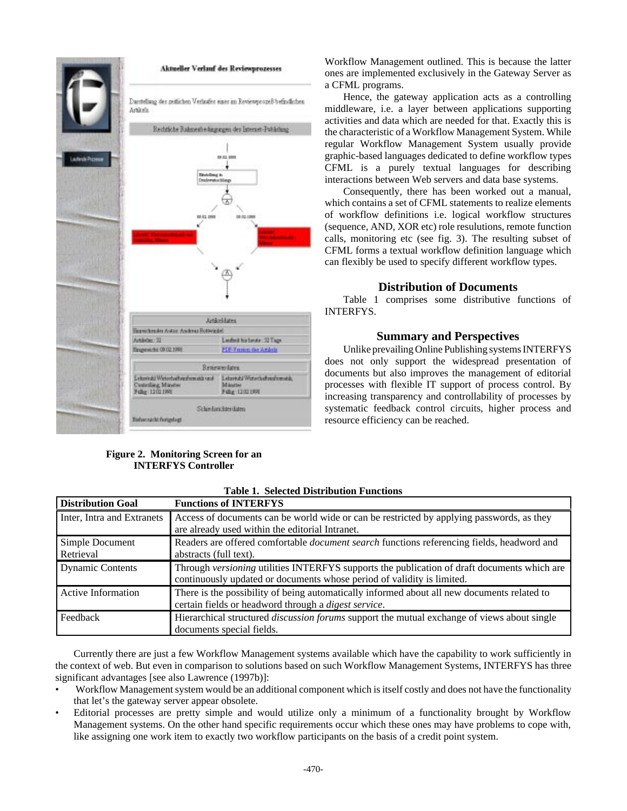

#### **Figure 2. Monitoring Screen for an INTERFYS Controller**

Workflow Management outlined. This is because the latter ones are implemented exclusively in the Gateway Server as a CFML programs.

Hence, the gateway application acts as a controlling middleware, i.e. a layer between applications supporting activities and data which are needed for that. Exactly this is the characteristic of a Workflow Management System. While regular Workflow Management System usually provide graphic-based languages dedicated to define workflow types CFML is a purely textual languages for describing interactions between Web servers and data base systems.

Consequently, there has been worked out a manual, which contains a set of CFML statements to realize elements of workflow definitions i.e. logical workflow structures (sequence, AND, XOR etc) role resulutions, remote function calls, monitoring etc (see fig. 3). The resulting subset of CFML forms a textual workflow definition language which can flexibly be used to specify different workflow types.

#### **Distribution of Documents**

Table 1 comprises some distributive functions of INTERFYS.

#### **Summary and Perspectives**

Unlike prevailing Online Publishing systems INTERFYS does not only support the widespread presentation of documents but also improves the management of editorial processes with flexible IT support of process control. By increasing transparency and controllability of processes by systematic feedback control circuits, higher process and resource efficiency can be reached.

| <b>Distribution Goal</b>     | <b>Functions of INTERFYS</b>                                                                                                                                          |
|------------------------------|-----------------------------------------------------------------------------------------------------------------------------------------------------------------------|
| Inter, Intra and Extranets   | Access of documents can be world wide or can be restricted by applying passwords, as they<br>are already used within the editorial Intranet.                          |
| Simple Document<br>Retrieval | Readers are offered comfortable <i>document search</i> functions referencing fields, headword and<br>abstracts (full text).                                           |
| <b>Dynamic Contents</b>      | Through versioning utilities INTERFYS supports the publication of draft documents which are<br>continuously updated or documents whose period of validity is limited. |
| <b>Active Information</b>    | There is the possibility of being automatically informed about all new documents related to<br>certain fields or headword through a <i>digest service</i> .           |
| Feedback                     | Hierarchical structured <i>discussion forums</i> support the mutual exchange of views about single<br>documents special fields.                                       |

**Table 1. Selected Distribution Functions**

Currently there are just a few Workflow Management systems available which have the capability to work sufficiently in the context of web. But even in comparison to solutions based on such Workflow Management Systems, INTERFYS has three significant advantages [see also Lawrence (1997b)]:

- Workflow Management system would be an additional component which is itself costly and does not have the functionality that let's the gateway server appear obsolete.
- Editorial processes are pretty simple and would utilize only a minimum of a functionality brought by Workflow Management systems. On the other hand specific requirements occur which these ones may have problems to cope with, like assigning one work item to exactly two workflow participants on the basis of a credit point system.